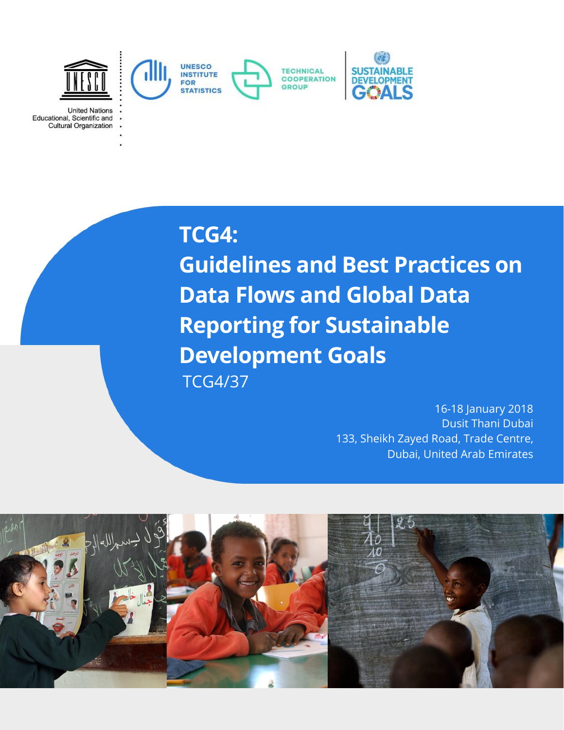

**United Nations** Educational, Scientific and<br>Cultural Organization

# **TCG4:**

**Guidelines and Best Practices on Data Flows and Global Data Reporting for Sustainable Development Goals**  TCG4/37

> 16-18 January 2018 Dusit Thani Dubai 133, Sheikh Zayed Road, Trade Centre, Dubai, United Arab Emirates

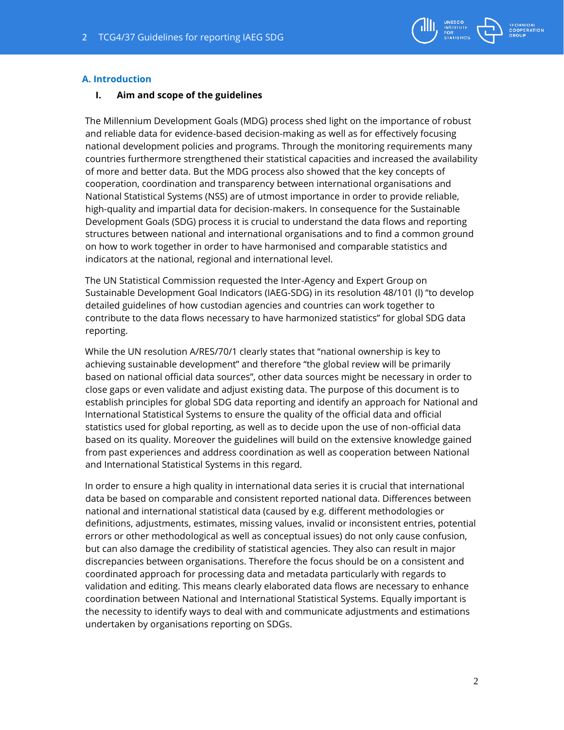

# **A. Introduction**

#### **I. Aim and scope of the guidelines**

The Millennium Development Goals (MDG) process shed light on the importance of robust and reliable data for evidence-based decision-making as well as for effectively focusing national development policies and programs. Through the monitoring requirements many countries furthermore strengthened their statistical capacities and increased the availability of more and better data. But the MDG process also showed that the key concepts of cooperation, coordination and transparency between international organisations and National Statistical Systems (NSS) are of utmost importance in order to provide reliable, high-quality and impartial data for decision-makers. In consequence for the Sustainable Development Goals (SDG) process it is crucial to understand the data flows and reporting structures between national and international organisations and to find a common ground on how to work together in order to have harmonised and comparable statistics and indicators at the national, regional and international level.

The UN Statistical Commission requested the Inter-Agency and Expert Group on Sustainable Development Goal Indicators (IAEG-SDG) in its resolution 48/101 (l) "to develop detailed guidelines of how custodian agencies and countries can work together to contribute to the data flows necessary to have harmonized statistics" for global SDG data reporting.

While the UN resolution A/RES/70/1 clearly states that "national ownership is key to achieving sustainable development" and therefore "the global review will be primarily based on national official data sources", other data sources might be necessary in order to close gaps or even validate and adjust existing data. The purpose of this document is to establish principles for global SDG data reporting and identify an approach for National and International Statistical Systems to ensure the quality of the official data and official statistics used for global reporting, as well as to decide upon the use of non-official data based on its quality. Moreover the guidelines will build on the extensive knowledge gained from past experiences and address coordination as well as cooperation between National and International Statistical Systems in this regard.

In order to ensure a high quality in international data series it is crucial that international data be based on comparable and consistent reported national data. Differences between national and international statistical data (caused by e.g. different methodologies or definitions, adjustments, estimates, missing values, invalid or inconsistent entries, potential errors or other methodological as well as conceptual issues) do not only cause confusion, but can also damage the credibility of statistical agencies. They also can result in major discrepancies between organisations. Therefore the focus should be on a consistent and coordinated approach for processing data and metadata particularly with regards to validation and editing. This means clearly elaborated data flows are necessary to enhance coordination between National and International Statistical Systems. Equally important is the necessity to identify ways to deal with and communicate adjustments and estimations undertaken by organisations reporting on SDGs.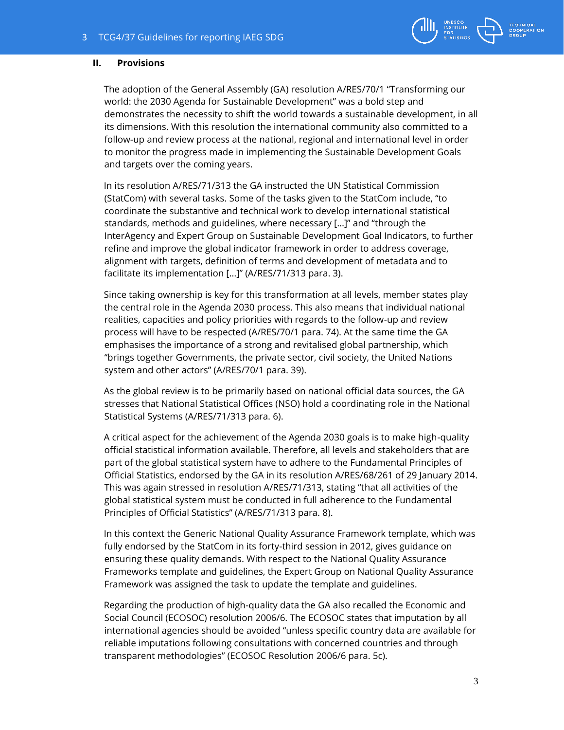

# **II. Provisions**

The adoption of the General Assembly (GA) resolution A/RES/70/1 "Transforming our world: the 2030 Agenda for Sustainable Development" was a bold step and demonstrates the necessity to shift the world towards a sustainable development, in all its dimensions. With this resolution the international community also committed to a follow-up and review process at the national, regional and international level in order to monitor the progress made in implementing the Sustainable Development Goals and targets over the coming years.

In its resolution A/RES/71/313 the GA instructed the UN Statistical Commission (StatCom) with several tasks. Some of the tasks given to the StatCom include, "to coordinate the substantive and technical work to develop international statistical standards, methods and guidelines, where necessary […]" and "through the InterAgency and Expert Group on Sustainable Development Goal Indicators, to further refine and improve the global indicator framework in order to address coverage, alignment with targets, definition of terms and development of metadata and to facilitate its implementation […]" (A/RES/71/313 para. 3).

Since taking ownership is key for this transformation at all levels, member states play the central role in the Agenda 2030 process. This also means that individual national realities, capacities and policy priorities with regards to the follow-up and review process will have to be respected (A/RES/70/1 para. 74). At the same time the GA emphasises the importance of a strong and revitalised global partnership, which "brings together Governments, the private sector, civil society, the United Nations system and other actors" (A/RES/70/1 para. 39).

As the global review is to be primarily based on national official data sources, the GA stresses that National Statistical Offices (NSO) hold a coordinating role in the National Statistical Systems (A/RES/71/313 para. 6).

A critical aspect for the achievement of the Agenda 2030 goals is to make high-quality official statistical information available. Therefore, all levels and stakeholders that are part of the global statistical system have to adhere to the Fundamental Principles of Official Statistics, endorsed by the GA in its resolution A/RES/68/261 of 29 January 2014. This was again stressed in resolution A/RES/71/313, stating "that all activities of the global statistical system must be conducted in full adherence to the Fundamental Principles of Official Statistics" (A/RES/71/313 para. 8).

In this context the Generic National Quality Assurance Framework template, which was fully endorsed by the StatCom in its forty-third session in 2012, gives guidance on ensuring these quality demands. With respect to the National Quality Assurance Frameworks template and guidelines, the Expert Group on National Quality Assurance Framework was assigned the task to update the template and guidelines.

Regarding the production of high-quality data the GA also recalled the Economic and Social Council (ECOSOC) resolution 2006/6. The ECOSOC states that imputation by all international agencies should be avoided "unless specific country data are available for reliable imputations following consultations with concerned countries and through transparent methodologies" (ECOSOC Resolution 2006/6 para. 5c).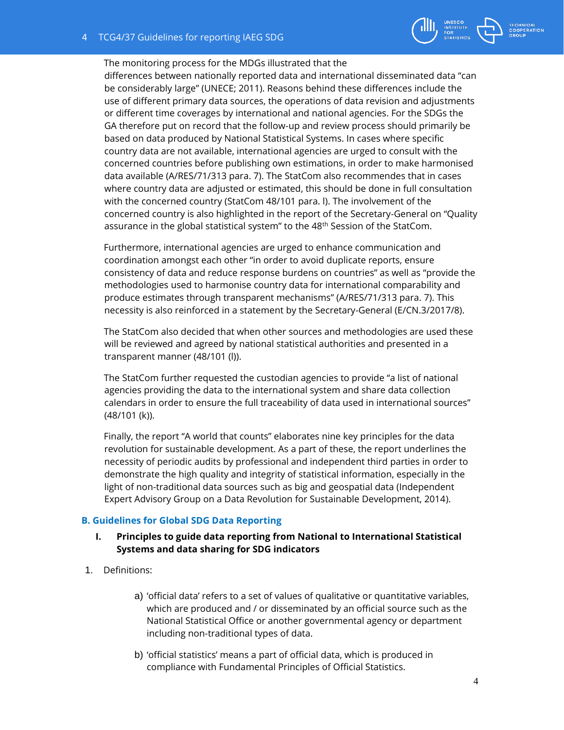

#### The monitoring process for the MDGs illustrated that the

differences between nationally reported data and international disseminated data "can be considerably large" (UNECE; 2011). Reasons behind these differences include the use of different primary data sources, the operations of data revision and adjustments or different time coverages by international and national agencies. For the SDGs the GA therefore put on record that the follow-up and review process should primarily be based on data produced by National Statistical Systems. In cases where specific country data are not available, international agencies are urged to consult with the concerned countries before publishing own estimations, in order to make harmonised data available (A/RES/71/313 para. 7). The StatCom also recommendes that in cases where country data are adjusted or estimated, this should be done in full consultation with the concerned country (StatCom 48/101 para. l). The involvement of the concerned country is also highlighted in the report of the Secretary-General on "Quality assurance in the global statistical system" to the  $48<sup>th</sup>$  Session of the StatCom.

Furthermore, international agencies are urged to enhance communication and coordination amongst each other "in order to avoid duplicate reports, ensure consistency of data and reduce response burdens on countries" as well as "provide the methodologies used to harmonise country data for international comparability and produce estimates through transparent mechanisms" (A/RES/71/313 para. 7). This necessity is also reinforced in a statement by the Secretary-General (E/CN.3/2017/8).

The StatCom also decided that when other sources and methodologies are used these will be reviewed and agreed by national statistical authorities and presented in a transparent manner (48/101 (l)).

The StatCom further requested the custodian agencies to provide "a list of national agencies providing the data to the international system and share data collection calendars in order to ensure the full traceability of data used in international sources" (48/101 (k)).

Finally, the report "A world that counts" elaborates nine key principles for the data revolution for sustainable development. As a part of these, the report underlines the necessity of periodic audits by professional and independent third parties in order to demonstrate the high quality and integrity of statistical information, especially in the light of non-traditional data sources such as big and geospatial data (Independent Expert Advisory Group on a Data Revolution for Sustainable Development, 2014).

# **B. Guidelines for Global SDG Data Reporting**

# **I. Principles to guide data reporting from National to International Statistical Systems and data sharing for SDG indicators**

- 1. Definitions:
	- a) 'official data' refers to a set of values of qualitative or quantitative variables, which are produced and / or disseminated by an official source such as the National Statistical Office or another governmental agency or department including non-traditional types of data.
	- b) 'official statistics' means a part of official data, which is produced in compliance with Fundamental Principles of Official Statistics.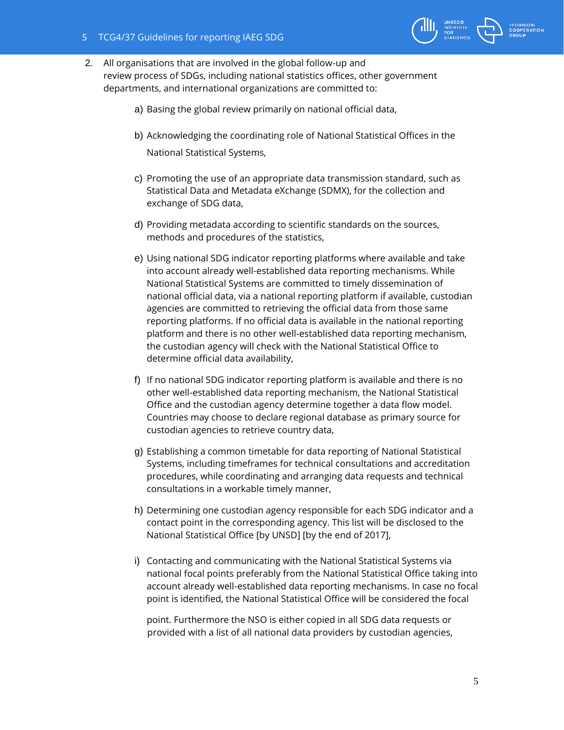- 2. All organisations that are involved in the global follow-up and review process of SDGs, including national statistics offices, other government departments, and international organizations are committed to:
	- a) Basing the global review primarily on national official data,
	- b) Acknowledging the coordinating role of National Statistical Offices in the National Statistical Systems,
	- c) Promoting the use of an appropriate data transmission standard, such as Statistical Data and Metadata eXchange (SDMX), for the collection and exchange of SDG data,
	- d) Providing metadata according to scientific standards on the sources, methods and procedures of the statistics,
	- e) Using national SDG indicator reporting platforms where available and take into account already well-established data reporting mechanisms. While National Statistical Systems are committed to timely dissemination of national official data, via a national reporting platform if available, custodian agencies are committed to retrieving the official data from those same reporting platforms. If no official data is available in the national reporting platform and there is no other well-established data reporting mechanism, the custodian agency will check with the National Statistical Office to determine official data availability,
	- f) If no national SDG indicator reporting platform is available and there is no other well-established data reporting mechanism, the National Statistical Office and the custodian agency determine together a data flow model. Countries may choose to declare regional database as primary source for custodian agencies to retrieve country data,
	- g) Establishing a common timetable for data reporting of National Statistical Systems, including timeframes for technical consultations and accreditation procedures, while coordinating and arranging data requests and technical consultations in a workable timely manner,
	- h) Determining one custodian agency responsible for each SDG indicator and a contact point in the corresponding agency. This list will be disclosed to the National Statistical Office [by UNSD] [by the end of 2017],
	- i) Contacting and communicating with the National Statistical Systems via national focal points preferably from the National Statistical Office taking into account already well-established data reporting mechanisms. In case no focal point is identified, the National Statistical Office will be considered the focal

point. Furthermore the NSO is either copied in all SDG data requests or provided with a list of all national data providers by custodian agencies,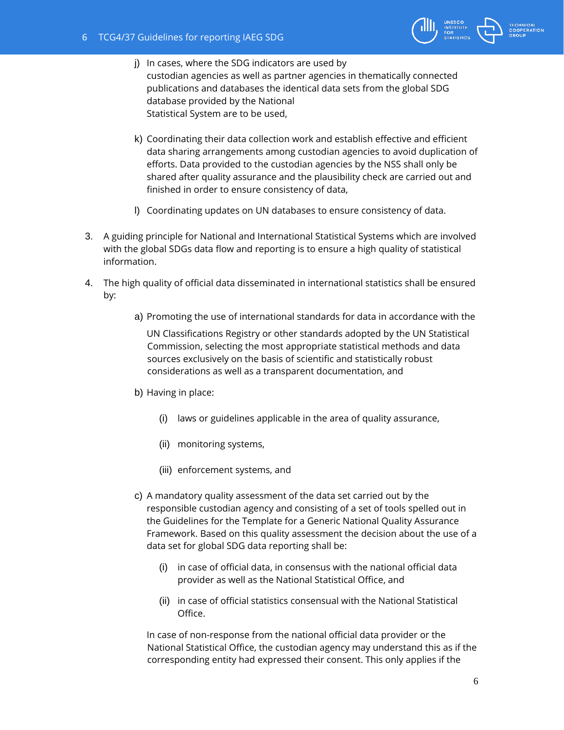

- j) In cases, where the SDG indicators are used by custodian agencies as well as partner agencies in thematically connected publications and databases the identical data sets from the global SDG database provided by the National Statistical System are to be used,
- k) Coordinating their data collection work and establish effective and efficient data sharing arrangements among custodian agencies to avoid duplication of efforts. Data provided to the custodian agencies by the NSS shall only be shared after quality assurance and the plausibility check are carried out and finished in order to ensure consistency of data,
- l) Coordinating updates on UN databases to ensure consistency of data.
- 3. A guiding principle for National and International Statistical Systems which are involved with the global SDGs data flow and reporting is to ensure a high quality of statistical information.
- 4. The high quality of official data disseminated in international statistics shall be ensured by:
	- a) Promoting the use of international standards for data in accordance with the

UN Classifications Registry or other standards adopted by the UN Statistical Commission, selecting the most appropriate statistical methods and data sources exclusively on the basis of scientific and statistically robust considerations as well as a transparent documentation, and

- b) Having in place:
	- (i) laws or guidelines applicable in the area of quality assurance,
	- (ii) monitoring systems,
	- (iii) enforcement systems, and
- c) A mandatory quality assessment of the data set carried out by the responsible custodian agency and consisting of a set of tools spelled out in the Guidelines for the Template for a Generic National Quality Assurance Framework. Based on this quality assessment the decision about the use of a data set for global SDG data reporting shall be:
	- (i) in case of official data, in consensus with the national official data provider as well as the National Statistical Office, and
	- (ii) in case of official statistics consensual with the National Statistical Office.

In case of non-response from the national official data provider or the National Statistical Office, the custodian agency may understand this as if the corresponding entity had expressed their consent. This only applies if the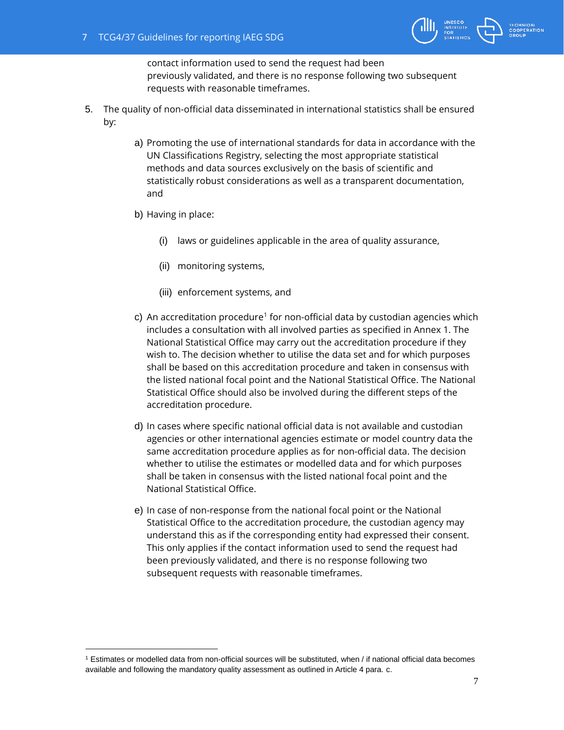

contact information used to send the request had been previously validated, and there is no response following two subsequent requests with reasonable timeframes.

- 5. The quality of non-official data disseminated in international statistics shall be ensured by:
	- a) Promoting the use of international standards for data in accordance with the UN Classifications Registry, selecting the most appropriate statistical methods and data sources exclusively on the basis of scientific and statistically robust considerations as well as a transparent documentation, and
	- b) Having in place:

- (i) laws or guidelines applicable in the area of quality assurance,
- (ii) monitoring systems,
- (iii) enforcement systems, and
- c) An accreditation procedure<sup>1</sup> for non-official data by custodian agencies which includes a consultation with all involved parties as specified in Annex 1. The National Statistical Office may carry out the accreditation procedure if they wish to. The decision whether to utilise the data set and for which purposes shall be based on this accreditation procedure and taken in consensus with the listed national focal point and the National Statistical Office. The National Statistical Office should also be involved during the different steps of the accreditation procedure.
- d) In cases where specific national official data is not available and custodian agencies or other international agencies estimate or model country data the same accreditation procedure applies as for non-official data. The decision whether to utilise the estimates or modelled data and for which purposes shall be taken in consensus with the listed national focal point and the National Statistical Office.
- e) In case of non-response from the national focal point or the National Statistical Office to the accreditation procedure, the custodian agency may understand this as if the corresponding entity had expressed their consent. This only applies if the contact information used to send the request had been previously validated, and there is no response following two subsequent requests with reasonable timeframes.

<sup>1</sup> Estimates or modelled data from non-official sources will be substituted, when / if national official data becomes available and following the mandatory quality assessment as outlined in Article 4 para. c.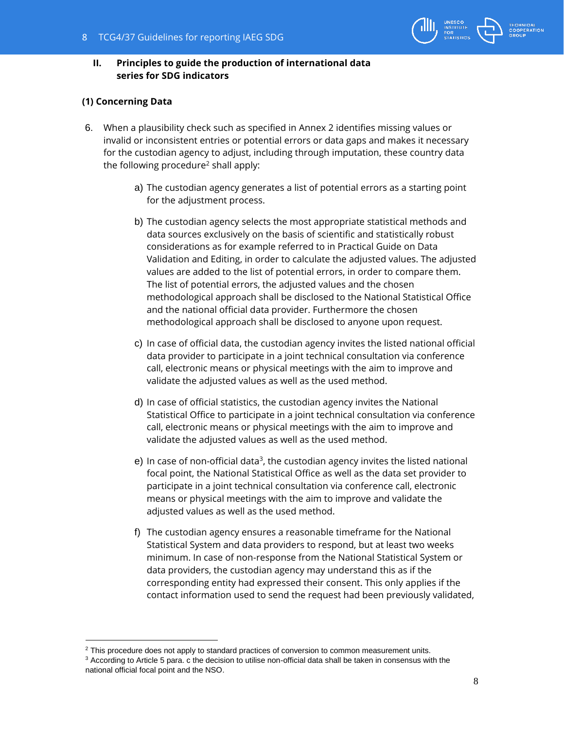# **II. Principles to guide the production of international data series for SDG indicators**

# **(1) Concerning Data**

 $\overline{a}$ 

- 6. When a plausibility check such as specified in Annex 2 identifies missing values or invalid or inconsistent entries or potential errors or data gaps and makes it necessary for the custodian agency to adjust, including through imputation, these country data the following procedure<sup>2</sup> shall apply:
	- a) The custodian agency generates a list of potential errors as a starting point for the adjustment process.
	- b) The custodian agency selects the most appropriate statistical methods and data sources exclusively on the basis of scientific and statistically robust considerations as for example referred to in Practical Guide on Data Validation and Editing, in order to calculate the adjusted values. The adjusted values are added to the list of potential errors, in order to compare them. The list of potential errors, the adjusted values and the chosen methodological approach shall be disclosed to the National Statistical Office and the national official data provider. Furthermore the chosen methodological approach shall be disclosed to anyone upon request.
	- c) In case of official data, the custodian agency invites the listed national official data provider to participate in a joint technical consultation via conference call, electronic means or physical meetings with the aim to improve and validate the adjusted values as well as the used method.
	- d) In case of official statistics, the custodian agency invites the National Statistical Office to participate in a joint technical consultation via conference call, electronic means or physical meetings with the aim to improve and validate the adjusted values as well as the used method.
	- e) In case of non-official data<sup>3</sup>, the custodian agency invites the listed national focal point, the National Statistical Office as well as the data set provider to participate in a joint technical consultation via conference call, electronic means or physical meetings with the aim to improve and validate the adjusted values as well as the used method.
	- f) The custodian agency ensures a reasonable timeframe for the National Statistical System and data providers to respond, but at least two weeks minimum. In case of non-response from the National Statistical System or data providers, the custodian agency may understand this as if the corresponding entity had expressed their consent. This only applies if the contact information used to send the request had been previously validated,

<sup>&</sup>lt;sup>2</sup> This procedure does not apply to standard practices of conversion to common measurement units.

<sup>&</sup>lt;sup>3</sup> According to Article 5 para. c the decision to utilise non-official data shall be taken in consensus with the national official focal point and the NSO.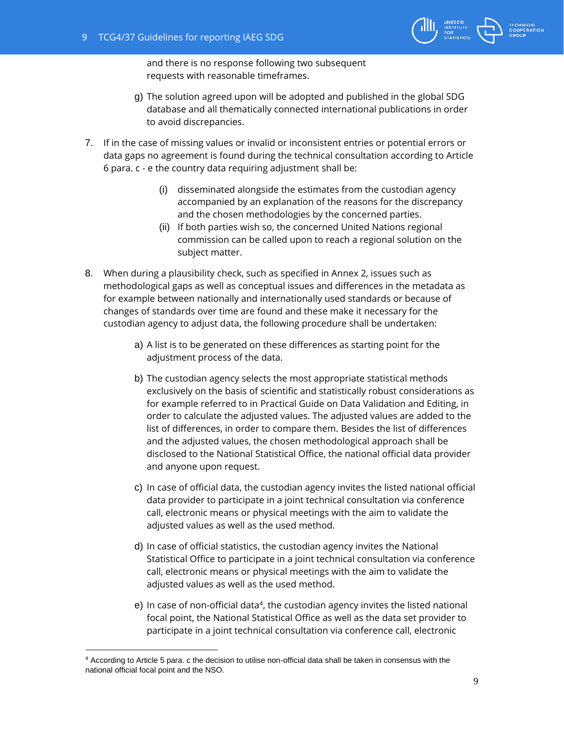

and there is no response following two subsequent requests with reasonable timeframes.

- g) The solution agreed upon will be adopted and published in the global SDG database and all thematically connected international publications in order to avoid discrepancies.
- 7. If in the case of missing values or invalid or inconsistent entries or potential errors or data gaps no agreement is found during the technical consultation according to Article 6 para. c - e the country data requiring adjustment shall be:
	- (i) disseminated alongside the estimates from the custodian agency accompanied by an explanation of the reasons for the discrepancy and the chosen methodologies by the concerned parties.
	- (ii) If both parties wish so, the concerned United Nations regional commission can be called upon to reach a regional solution on the subject matter.
- 8. When during a plausibility check, such as specified in Annex 2, issues such as methodological gaps as well as conceptual issues and differences in the metadata as for example between nationally and internationally used standards or because of changes of standards over time are found and these make it necessary for the custodian agency to adjust data, the following procedure shall be undertaken:
	- a) A list is to be generated on these differences as starting point for the adjustment process of the data.
	- b) The custodian agency selects the most appropriate statistical methods exclusively on the basis of scientific and statistically robust considerations as for example referred to in Practical Guide on Data Validation and Editing, in order to calculate the adjusted values. The adjusted values are added to the list of differences, in order to compare them. Besides the list of differences and the adjusted values, the chosen methodological approach shall be disclosed to the National Statistical Office, the national official data provider and anyone upon request.
	- c) In case of official data, the custodian agency invites the listed national official data provider to participate in a joint technical consultation via conference call, electronic means or physical meetings with the aim to validate the adjusted values as well as the used method.
	- d) In case of official statistics, the custodian agency invites the National Statistical Office to participate in a joint technical consultation via conference call, electronic means or physical meetings with the aim to validate the adjusted values as well as the used method.
	- e) In case of non-official data<sup>4</sup>, the custodian agency invites the listed national focal point, the National Statistical Office as well as the data set provider to participate in a joint technical consultation via conference call, electronic

 $\overline{a}$ 

<sup>4</sup> According to Article 5 para. c the decision to utilise non-official data shall be taken in consensus with the national official focal point and the NSO.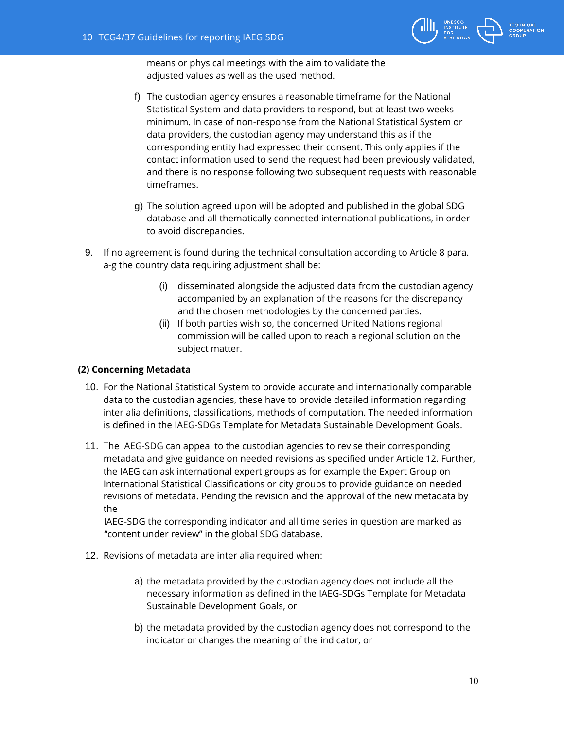

means or physical meetings with the aim to validate the adjusted values as well as the used method.

- f) The custodian agency ensures a reasonable timeframe for the National Statistical System and data providers to respond, but at least two weeks minimum. In case of non-response from the National Statistical System or data providers, the custodian agency may understand this as if the corresponding entity had expressed their consent. This only applies if the contact information used to send the request had been previously validated, and there is no response following two subsequent requests with reasonable timeframes.
- g) The solution agreed upon will be adopted and published in the global SDG database and all thematically connected international publications, in order to avoid discrepancies.
- 9. If no agreement is found during the technical consultation according to Article 8 para. a-g the country data requiring adjustment shall be:
	- (i) disseminated alongside the adjusted data from the custodian agency accompanied by an explanation of the reasons for the discrepancy and the chosen methodologies by the concerned parties.
	- (ii) If both parties wish so, the concerned United Nations regional commission will be called upon to reach a regional solution on the subject matter.

# **(2) Concerning Metadata**

- 10. For the National Statistical System to provide accurate and internationally comparable data to the custodian agencies, these have to provide detailed information regarding inter alia definitions, classifications, methods of computation. The needed information is defined in the IAEG-SDGs Template for Metadata Sustainable Development Goals.
- 11. The IAEG-SDG can appeal to the custodian agencies to revise their corresponding metadata and give guidance on needed revisions as specified under Article 12. Further, the IAEG can ask international expert groups as for example the Expert Group on International Statistical Classifications or city groups to provide guidance on needed revisions of metadata. Pending the revision and the approval of the new metadata by the

IAEG-SDG the corresponding indicator and all time series in question are marked as "content under review" in the global SDG database.

- 12. Revisions of metadata are inter alia required when:
	- a) the metadata provided by the custodian agency does not include all the necessary information as defined in the IAEG-SDGs Template for Metadata Sustainable Development Goals, or
	- b) the metadata provided by the custodian agency does not correspond to the indicator or changes the meaning of the indicator, or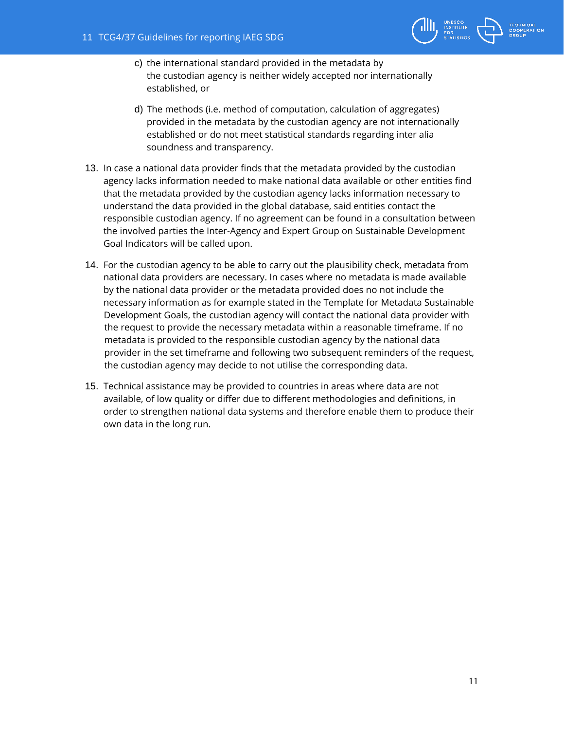

- c) the international standard provided in the metadata by the custodian agency is neither widely accepted nor internationally established, or
- d) The methods (i.e. method of computation, calculation of aggregates) provided in the metadata by the custodian agency are not internationally established or do not meet statistical standards regarding inter alia soundness and transparency.
- 13. In case a national data provider finds that the metadata provided by the custodian agency lacks information needed to make national data available or other entities find that the metadata provided by the custodian agency lacks information necessary to understand the data provided in the global database, said entities contact the responsible custodian agency. If no agreement can be found in a consultation between the involved parties the Inter-Agency and Expert Group on Sustainable Development Goal Indicators will be called upon.
- 14. For the custodian agency to be able to carry out the plausibility check, metadata from national data providers are necessary. In cases where no metadata is made available by the national data provider or the metadata provided does no not include the necessary information as for example stated in the Template for Metadata Sustainable Development Goals, the custodian agency will contact the national data provider with the request to provide the necessary metadata within a reasonable timeframe. If no metadata is provided to the responsible custodian agency by the national data provider in the set timeframe and following two subsequent reminders of the request, the custodian agency may decide to not utilise the corresponding data.
- 15. Technical assistance may be provided to countries in areas where data are not available, of low quality or differ due to different methodologies and definitions, in order to strengthen national data systems and therefore enable them to produce their own data in the long run.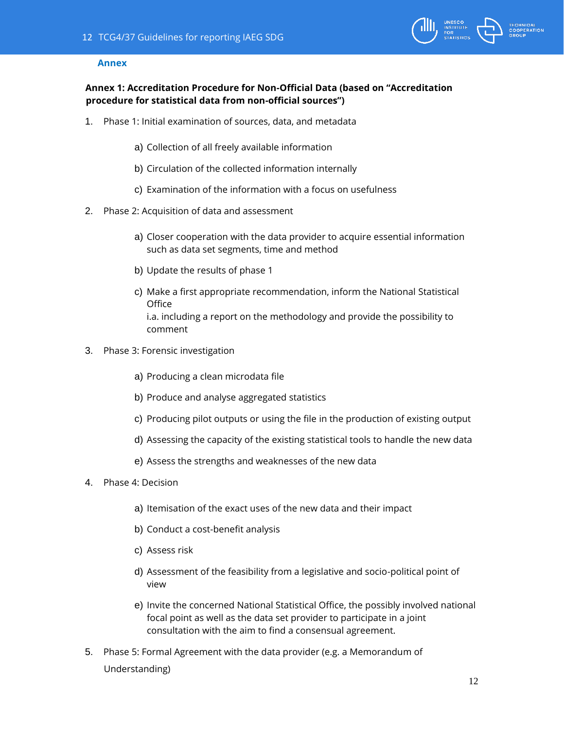

### **Annex**

# **Annex 1: Accreditation Procedure for Non-Official Data (based on "Accreditation procedure for statistical data from non-official sources")**

- 1. Phase 1: Initial examination of sources, data, and metadata
	- a) Collection of all freely available information
	- b) Circulation of the collected information internally
	- c) Examination of the information with a focus on usefulness
- 2. Phase 2: Acquisition of data and assessment
	- a) Closer cooperation with the data provider to acquire essential information such as data set segments, time and method
	- b) Update the results of phase 1
	- c) Make a first appropriate recommendation, inform the National Statistical **Office** i.a. including a report on the methodology and provide the possibility to comment
- 3. Phase 3: Forensic investigation
	- a) Producing a clean microdata file
	- b) Produce and analyse aggregated statistics
	- c) Producing pilot outputs or using the file in the production of existing output
	- d) Assessing the capacity of the existing statistical tools to handle the new data
	- e) Assess the strengths and weaknesses of the new data
- 4. Phase 4: Decision
	- a) Itemisation of the exact uses of the new data and their impact
	- b) Conduct a cost-benefit analysis
	- c) Assess risk
	- d) Assessment of the feasibility from a legislative and socio-political point of view
	- e) Invite the concerned National Statistical Office, the possibly involved national focal point as well as the data set provider to participate in a joint consultation with the aim to find a consensual agreement.
- 5. Phase 5: Formal Agreement with the data provider (e.g. a Memorandum of Understanding)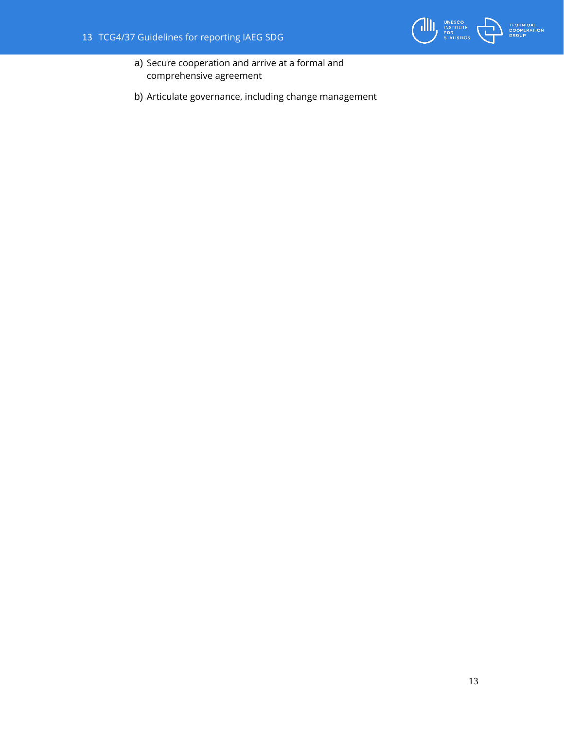

- a) Secure cooperation and arrive at a formal and comprehensive agreement
- b) Articulate governance, including change management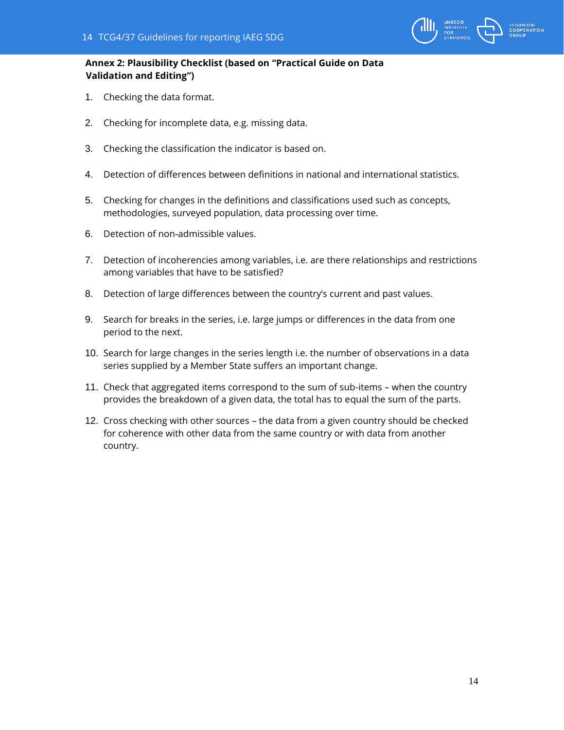

# **Annex 2: Plausibility Checklist (based on "Practical Guide on Data Validation and Editing")**

- 1. Checking the data format.
- 2. Checking for incomplete data, e.g. missing data.
- 3. Checking the classification the indicator is based on.
- 4. Detection of differences between definitions in national and international statistics.
- 5. Checking for changes in the definitions and classifications used such as concepts, methodologies, surveyed population, data processing over time.
- 6. Detection of non-admissible values.
- 7. Detection of incoherencies among variables, i.e. are there relationships and restrictions among variables that have to be satisfied?
- 8. Detection of large differences between the country's current and past values.
- 9. Search for breaks in the series, i.e. large jumps or differences in the data from one period to the next.
- 10. Search for large changes in the series length i.e. the number of observations in a data series supplied by a Member State suffers an important change.
- 11. Check that aggregated items correspond to the sum of sub-items when the country provides the breakdown of a given data, the total has to equal the sum of the parts.
- 12. Cross checking with other sources the data from a given country should be checked for coherence with other data from the same country or with data from another country.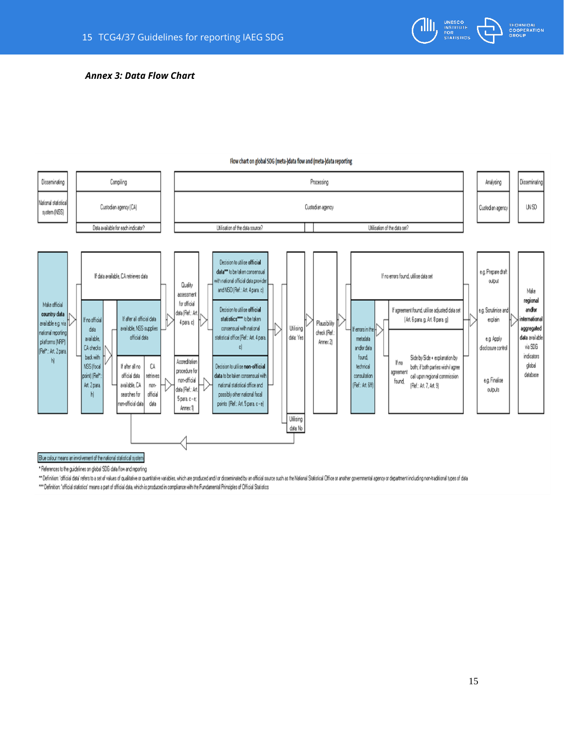

#### *Annex 3: Data Flow Chart*



#### Flow chart on global SDG (meta-)data flow and (meta-)data reporting

" References to the guidelines on global SDG data flow and reporting

"" Definition: 'official data' refers to a set of values of qualitative or quanitative variables, which are produced and i or disseminated by an official source such as the National Statistical Office or another government

\*\*\* Definition: 'official statistics' means a part of official data, which is produced in compliance with the Fundamental Principles of Official Statistics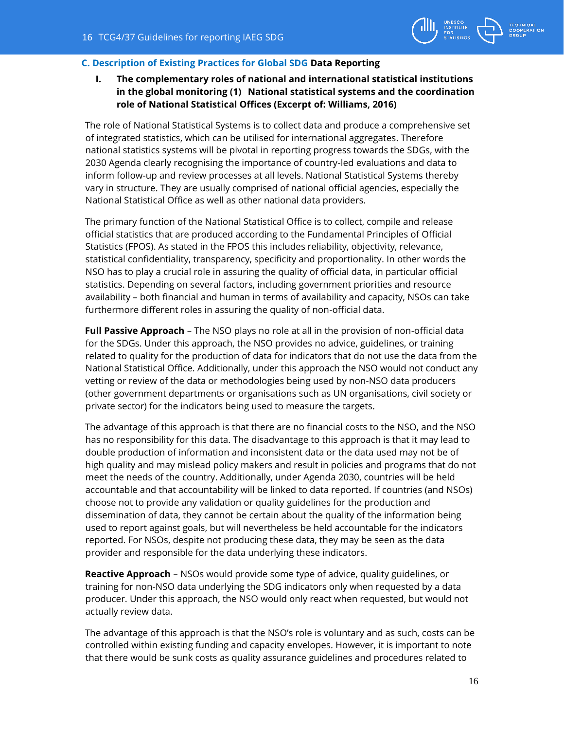

# **C. Description of Existing Practices for Global SDG Data Reporting**

# **I. The complementary roles of national and international statistical institutions in the global monitoring (1) National statistical systems and the coordination role of National Statistical Offices (Excerpt of: Williams, 2016)**

The role of National Statistical Systems is to collect data and produce a comprehensive set of integrated statistics, which can be utilised for international aggregates. Therefore national statistics systems will be pivotal in reporting progress towards the SDGs, with the 2030 Agenda clearly recognising the importance of country-led evaluations and data to inform follow-up and review processes at all levels. National Statistical Systems thereby vary in structure. They are usually comprised of national official agencies, especially the National Statistical Office as well as other national data providers.

The primary function of the National Statistical Office is to collect, compile and release official statistics that are produced according to the Fundamental Principles of Official Statistics (FPOS). As stated in the FPOS this includes reliability, objectivity, relevance, statistical confidentiality, transparency, specificity and proportionality. In other words the NSO has to play a crucial role in assuring the quality of official data, in particular official statistics. Depending on several factors, including government priorities and resource availability – both financial and human in terms of availability and capacity, NSOs can take furthermore different roles in assuring the quality of non-official data.

**Full Passive Approach** – The NSO plays no role at all in the provision of non-official data for the SDGs. Under this approach, the NSO provides no advice, guidelines, or training related to quality for the production of data for indicators that do not use the data from the National Statistical Office. Additionally, under this approach the NSO would not conduct any vetting or review of the data or methodologies being used by non-NSO data producers (other government departments or organisations such as UN organisations, civil society or private sector) for the indicators being used to measure the targets.

The advantage of this approach is that there are no financial costs to the NSO, and the NSO has no responsibility for this data. The disadvantage to this approach is that it may lead to double production of information and inconsistent data or the data used may not be of high quality and may mislead policy makers and result in policies and programs that do not meet the needs of the country. Additionally, under Agenda 2030, countries will be held accountable and that accountability will be linked to data reported. If countries (and NSOs) choose not to provide any validation or quality guidelines for the production and dissemination of data, they cannot be certain about the quality of the information being used to report against goals, but will nevertheless be held accountable for the indicators reported. For NSOs, despite not producing these data, they may be seen as the data provider and responsible for the data underlying these indicators.

**Reactive Approach** – NSOs would provide some type of advice, quality guidelines, or training for non-NSO data underlying the SDG indicators only when requested by a data producer. Under this approach, the NSO would only react when requested, but would not actually review data.

The advantage of this approach is that the NSO's role is voluntary and as such, costs can be controlled within existing funding and capacity envelopes. However, it is important to note that there would be sunk costs as quality assurance guidelines and procedures related to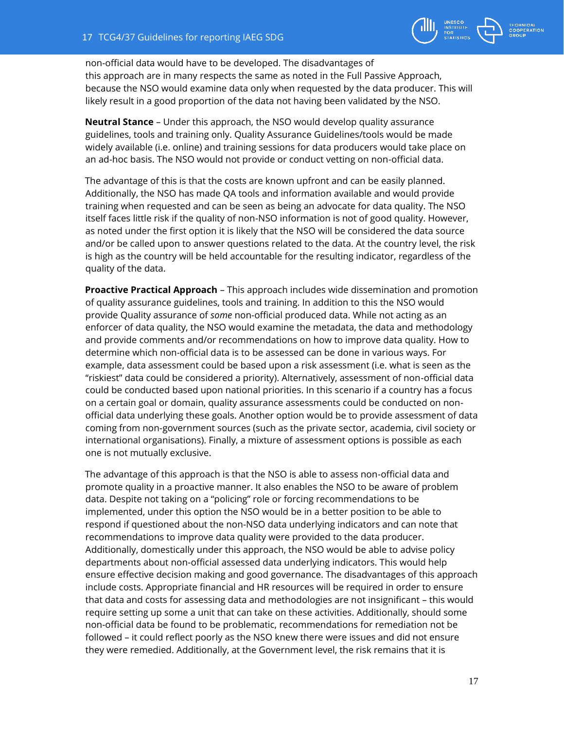

non-official data would have to be developed. The disadvantages of this approach are in many respects the same as noted in the Full Passive Approach, because the NSO would examine data only when requested by the data producer. This will likely result in a good proportion of the data not having been validated by the NSO.

**Neutral Stance** – Under this approach, the NSO would develop quality assurance guidelines, tools and training only. Quality Assurance Guidelines/tools would be made widely available (i.e. online) and training sessions for data producers would take place on an ad-hoc basis. The NSO would not provide or conduct vetting on non-official data.

The advantage of this is that the costs are known upfront and can be easily planned. Additionally, the NSO has made QA tools and information available and would provide training when requested and can be seen as being an advocate for data quality. The NSO itself faces little risk if the quality of non-NSO information is not of good quality. However, as noted under the first option it is likely that the NSO will be considered the data source and/or be called upon to answer questions related to the data. At the country level, the risk is high as the country will be held accountable for the resulting indicator, regardless of the quality of the data.

**Proactive Practical Approach** – This approach includes wide dissemination and promotion of quality assurance guidelines, tools and training. In addition to this the NSO would provide Quality assurance of *some* non-official produced data. While not acting as an enforcer of data quality, the NSO would examine the metadata, the data and methodology and provide comments and/or recommendations on how to improve data quality. How to determine which non-official data is to be assessed can be done in various ways. For example, data assessment could be based upon a risk assessment (i.e. what is seen as the "riskiest" data could be considered a priority). Alternatively, assessment of non-official data could be conducted based upon national priorities. In this scenario if a country has a focus on a certain goal or domain, quality assurance assessments could be conducted on nonofficial data underlying these goals. Another option would be to provide assessment of data coming from non-government sources (such as the private sector, academia, civil society or international organisations). Finally, a mixture of assessment options is possible as each one is not mutually exclusive.

The advantage of this approach is that the NSO is able to assess non-official data and promote quality in a proactive manner. It also enables the NSO to be aware of problem data. Despite not taking on a "policing" role or forcing recommendations to be implemented, under this option the NSO would be in a better position to be able to respond if questioned about the non-NSO data underlying indicators and can note that recommendations to improve data quality were provided to the data producer. Additionally, domestically under this approach, the NSO would be able to advise policy departments about non-official assessed data underlying indicators. This would help ensure effective decision making and good governance. The disadvantages of this approach include costs. Appropriate financial and HR resources will be required in order to ensure that data and costs for assessing data and methodologies are not insignificant – this would require setting up some a unit that can take on these activities. Additionally, should some non-official data be found to be problematic, recommendations for remediation not be followed – it could reflect poorly as the NSO knew there were issues and did not ensure they were remedied. Additionally, at the Government level, the risk remains that it is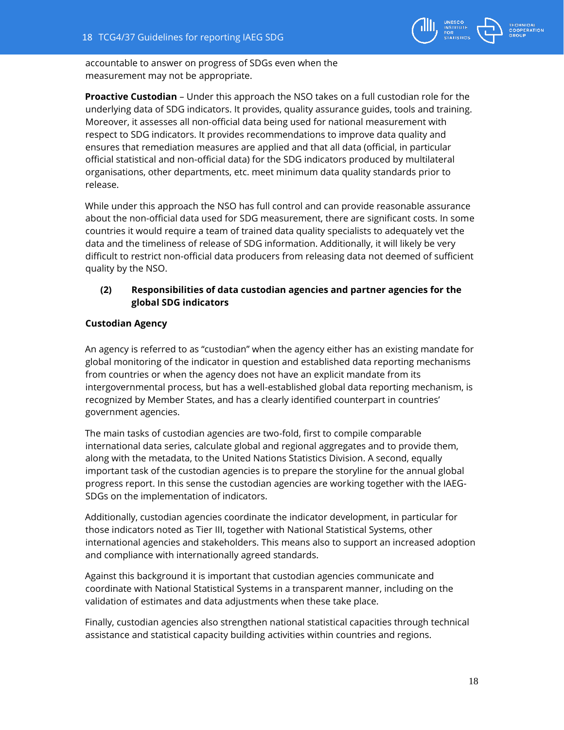

accountable to answer on progress of SDGs even when the measurement may not be appropriate.

**Proactive Custodian** – Under this approach the NSO takes on a full custodian role for the underlying data of SDG indicators. It provides, quality assurance guides, tools and training. Moreover, it assesses all non-official data being used for national measurement with respect to SDG indicators. It provides recommendations to improve data quality and ensures that remediation measures are applied and that all data (official, in particular official statistical and non-official data) for the SDG indicators produced by multilateral organisations, other departments, etc. meet minimum data quality standards prior to release.

While under this approach the NSO has full control and can provide reasonable assurance about the non-official data used for SDG measurement, there are significant costs. In some countries it would require a team of trained data quality specialists to adequately vet the data and the timeliness of release of SDG information. Additionally, it will likely be very difficult to restrict non-official data producers from releasing data not deemed of sufficient quality by the NSO.

# **(2) Responsibilities of data custodian agencies and partner agencies for the global SDG indicators**

# **Custodian Agency**

An agency is referred to as "custodian" when the agency either has an existing mandate for global monitoring of the indicator in question and established data reporting mechanisms from countries or when the agency does not have an explicit mandate from its intergovernmental process, but has a well-established global data reporting mechanism, is recognized by Member States, and has a clearly identified counterpart in countries' government agencies.

The main tasks of custodian agencies are two-fold, first to compile comparable international data series, calculate global and regional aggregates and to provide them, along with the metadata, to the United Nations Statistics Division. A second, equally important task of the custodian agencies is to prepare the storyline for the annual global progress report. In this sense the custodian agencies are working together with the IAEG-SDGs on the implementation of indicators.

Additionally, custodian agencies coordinate the indicator development, in particular for those indicators noted as Tier III, together with National Statistical Systems, other international agencies and stakeholders. This means also to support an increased adoption and compliance with internationally agreed standards.

Against this background it is important that custodian agencies communicate and coordinate with National Statistical Systems in a transparent manner, including on the validation of estimates and data adjustments when these take place.

Finally, custodian agencies also strengthen national statistical capacities through technical assistance and statistical capacity building activities within countries and regions.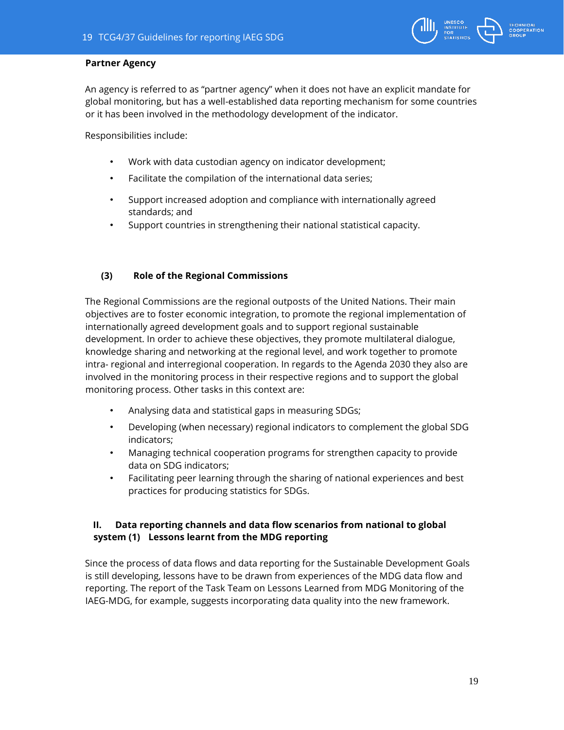

# **Partner Agency**

An agency is referred to as "partner agency" when it does not have an explicit mandate for global monitoring, but has a well-established data reporting mechanism for some countries or it has been involved in the methodology development of the indicator.

Responsibilities include:

- Work with data custodian agency on indicator development;
- Facilitate the compilation of the international data series;
- Support increased adoption and compliance with internationally agreed standards; and
- Support countries in strengthening their national statistical capacity.

### **(3) Role of the Regional Commissions**

The Regional Commissions are the regional outposts of the United Nations. Their main objectives are to foster economic integration, to promote the regional implementation of internationally agreed development goals and to support regional sustainable development. In order to achieve these objectives, they promote multilateral dialogue, knowledge sharing and networking at the regional level, and work together to promote intra- regional and interregional cooperation. In regards to the Agenda 2030 they also are involved in the monitoring process in their respective regions and to support the global monitoring process. Other tasks in this context are:

- Analysing data and statistical gaps in measuring SDGs;
- Developing (when necessary) regional indicators to complement the global SDG indicators;
- Managing technical cooperation programs for strengthen capacity to provide data on SDG indicators;
- Facilitating peer learning through the sharing of national experiences and best practices for producing statistics for SDGs.

# **II. Data reporting channels and data flow scenarios from national to global system (1) Lessons learnt from the MDG reporting**

Since the process of data flows and data reporting for the Sustainable Development Goals is still developing, lessons have to be drawn from experiences of the MDG data flow and reporting. The report of the Task Team on Lessons Learned from MDG Monitoring of the IAEG-MDG, for example, suggests incorporating data quality into the new framework.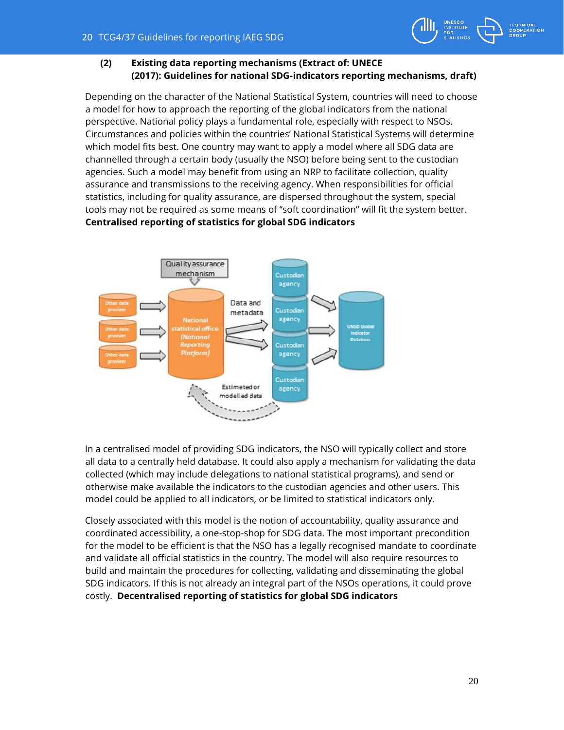

# **(2) Existing data reporting mechanisms (Extract of: UNECE (2017): Guidelines for national SDG-indicators reporting mechanisms, draft)**

Depending on the character of the National Statistical System, countries will need to choose a model for how to approach the reporting of the global indicators from the national perspective. National policy plays a fundamental role, especially with respect to NSOs. Circumstances and policies within the countries' National Statistical Systems will determine which model fits best. One country may want to apply a model where all SDG data are channelled through a certain body (usually the NSO) before being sent to the custodian agencies. Such a model may benefit from using an NRP to facilitate collection, quality assurance and transmissions to the receiving agency. When responsibilities for official statistics, including for quality assurance, are dispersed throughout the system, special tools may not be required as some means of "soft coordination" will fit the system better. **Centralised reporting of statistics for global SDG indicators** 



In a centralised model of providing SDG indicators, the NSO will typically collect and store all data to a centrally held database. It could also apply a mechanism for validating the data collected (which may include delegations to national statistical programs), and send or otherwise make available the indicators to the custodian agencies and other users. This model could be applied to all indicators, or be limited to statistical indicators only.

Closely associated with this model is the notion of accountability, quality assurance and coordinated accessibility, a one-stop-shop for SDG data. The most important precondition for the model to be efficient is that the NSO has a legally recognised mandate to coordinate and validate all official statistics in the country. The model will also require resources to build and maintain the procedures for collecting, validating and disseminating the global SDG indicators. If this is not already an integral part of the NSOs operations, it could prove costly. **Decentralised reporting of statistics for global SDG indicators**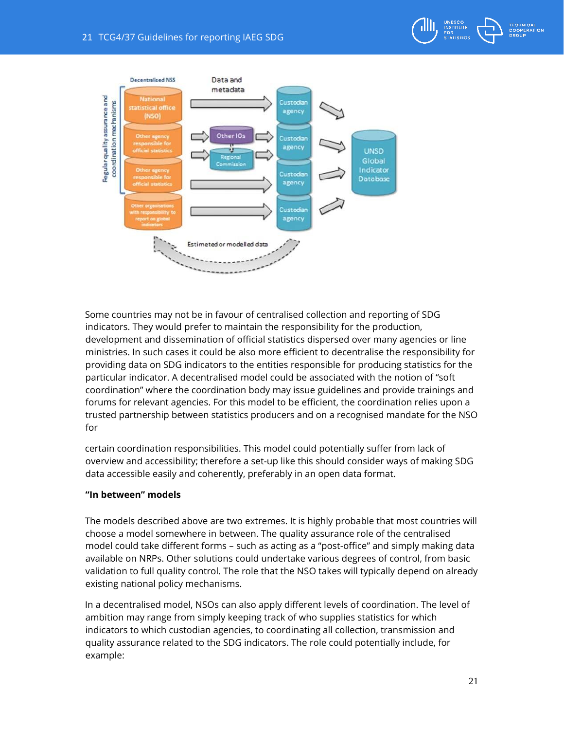

Some countries may not be in favour of centralised collection and reporting of SDG indicators. They would prefer to maintain the responsibility for the production, development and dissemination of official statistics dispersed over many agencies or line ministries. In such cases it could be also more efficient to decentralise the responsibility for providing data on SDG indicators to the entities responsible for producing statistics for the particular indicator. A decentralised model could be associated with the notion of "soft coordination" where the coordination body may issue guidelines and provide trainings and forums for relevant agencies. For this model to be efficient, the coordination relies upon a trusted partnership between statistics producers and on a recognised mandate for the NSO for

certain coordination responsibilities. This model could potentially suffer from lack of overview and accessibility; therefore a set-up like this should consider ways of making SDG data accessible easily and coherently, preferably in an open data format.

# **"In between" models**

The models described above are two extremes. It is highly probable that most countries will choose a model somewhere in between. The quality assurance role of the centralised model could take different forms – such as acting as a "post-office" and simply making data available on NRPs. Other solutions could undertake various degrees of control, from basic validation to full quality control. The role that the NSO takes will typically depend on already existing national policy mechanisms.

In a decentralised model, NSOs can also apply different levels of coordination. The level of ambition may range from simply keeping track of who supplies statistics for which indicators to which custodian agencies, to coordinating all collection, transmission and quality assurance related to the SDG indicators. The role could potentially include, for example: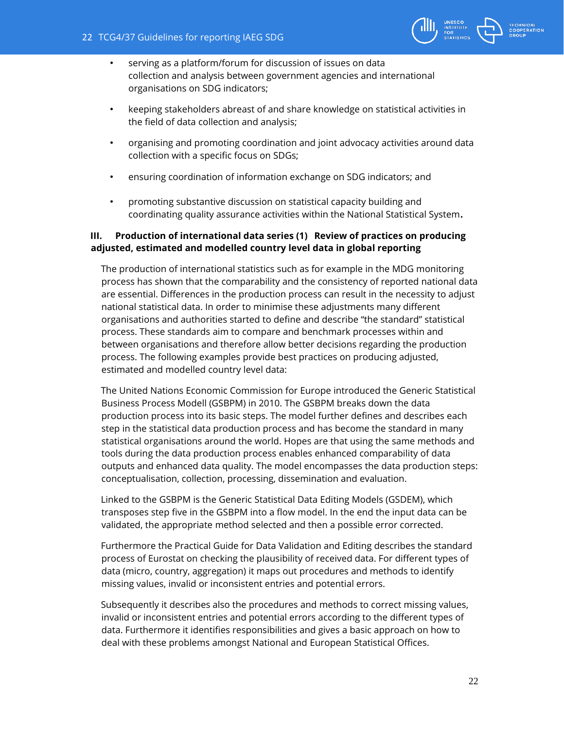

- serving as a platform/forum for discussion of issues on data collection and analysis between government agencies and international organisations on SDG indicators;
- keeping stakeholders abreast of and share knowledge on statistical activities in the field of data collection and analysis;
- organising and promoting coordination and joint advocacy activities around data collection with a specific focus on SDGs;
- ensuring coordination of information exchange on SDG indicators; and
- promoting substantive discussion on statistical capacity building and coordinating quality assurance activities within the National Statistical System**.**

# **III. Production of international data series (1) Review of practices on producing adjusted, estimated and modelled country level data in global reporting**

The production of international statistics such as for example in the MDG monitoring process has shown that the comparability and the consistency of reported national data are essential. Differences in the production process can result in the necessity to adjust national statistical data. In order to minimise these adjustments many different organisations and authorities started to define and describe "the standard" statistical process. These standards aim to compare and benchmark processes within and between organisations and therefore allow better decisions regarding the production process. The following examples provide best practices on producing adjusted, estimated and modelled country level data:

The United Nations Economic Commission for Europe introduced the Generic Statistical Business Process Modell (GSBPM) in 2010. The GSBPM breaks down the data production process into its basic steps. The model further defines and describes each step in the statistical data production process and has become the standard in many statistical organisations around the world. Hopes are that using the same methods and tools during the data production process enables enhanced comparability of data outputs and enhanced data quality. The model encompasses the data production steps: conceptualisation, collection, processing, dissemination and evaluation.

Linked to the GSBPM is the Generic Statistical Data Editing Models (GSDEM), which transposes step five in the GSBPM into a flow model. In the end the input data can be validated, the appropriate method selected and then a possible error corrected.

Furthermore the Practical Guide for Data Validation and Editing describes the standard process of Eurostat on checking the plausibility of received data. For different types of data (micro, country, aggregation) it maps out procedures and methods to identify missing values, invalid or inconsistent entries and potential errors.

Subsequently it describes also the procedures and methods to correct missing values, invalid or inconsistent entries and potential errors according to the different types of data. Furthermore it identifies responsibilities and gives a basic approach on how to deal with these problems amongst National and European Statistical Offices.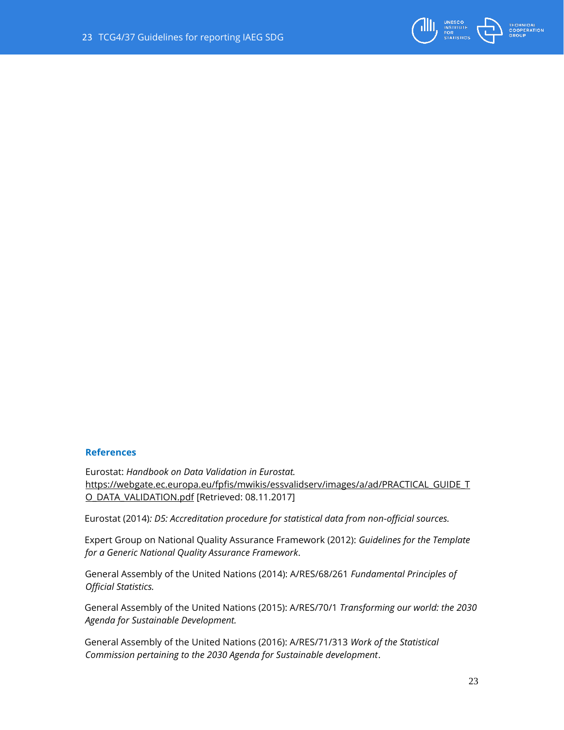

# **References**

Eurostat: *Handbook on Data Validation in Eurostat.*  https://webgate.ec.europa.eu/fpfis/mwikis/essvalidserv/images/a/ad/PRACTICAL\_GUIDE\_T O\_DATA\_VALIDATION.pdf [Retrieved: 08.11.2017]

Eurostat (2014)*: D5: Accreditation procedure for statistical data from non-official sources.*

Expert Group on National Quality Assurance Framework (2012): *Guidelines for the Template for a Generic National Quality Assurance Framework*.

General Assembly of the United Nations (2014): A/RES/68/261 *Fundamental Principles of Official Statistics.*

General Assembly of the United Nations (2015): A/RES/70/1 *Transforming our world: the 2030 Agenda for Sustainable Development.*

General Assembly of the United Nations (2016): A/RES/71/313 *Work of the Statistical Commission pertaining to the 2030 Agenda for Sustainable development*.